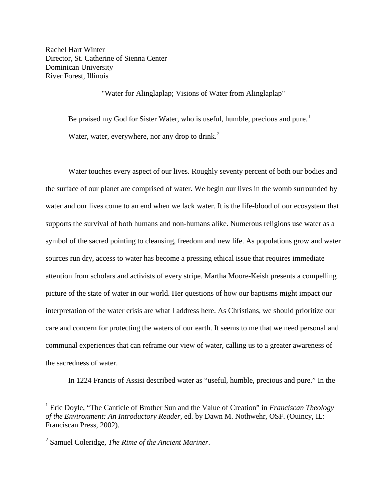Rachel Hart Winter Director, St. Catherine of Sienna Center Dominican University River Forest, Illinois

"Water for Alinglaplap; Visions of Water from Alinglaplap"

Be praised my God for Sister Water, who is useful, humble, precious and pure.<sup>[1](#page-0-0)</sup> Water, water, everywhere, nor any drop to drink. $<sup>2</sup>$  $<sup>2</sup>$  $<sup>2</sup>$ </sup>

Water touches every aspect of our lives. Roughly seventy percent of both our bodies and the surface of our planet are comprised of water. We begin our lives in the womb surrounded by water and our lives come to an end when we lack water. It is the life-blood of our ecosystem that supports the survival of both humans and non-humans alike. Numerous religions use water as a symbol of the sacred pointing to cleansing, freedom and new life. As populations grow and water sources run dry, access to water has become a pressing ethical issue that requires immediate attention from scholars and activists of every stripe. Martha Moore-Keish presents a compelling picture of the state of water in our world. Her questions of how our baptisms might impact our interpretation of the water crisis are what I address here. As Christians, we should prioritize our care and concern for protecting the waters of our earth. It seems to me that we need personal and communal experiences that can reframe our view of water, calling us to a greater awareness of the sacredness of water.

In 1224 Francis of Assisi described water as "useful, humble, precious and pure." In the

<span id="page-0-0"></span><sup>1</sup> Eric Doyle, "The Canticle of Brother Sun and the Value of Creation" in *Franciscan Theology of the Environment: An Introductory Reader,* ed. by Dawn M. Nothwehr, OSF. (Ouincy, IL: Franciscan Press, 2002).

<span id="page-0-1"></span><sup>2</sup> Samuel Coleridge, *The Rime of the Ancient Mariner*.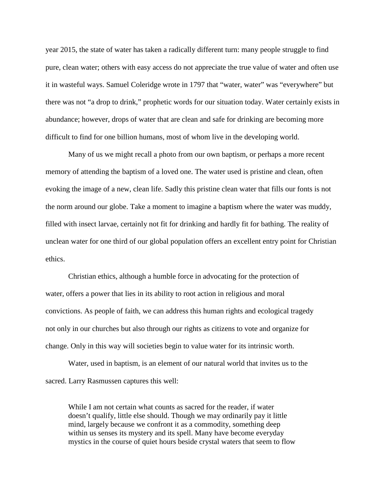year 2015, the state of water has taken a radically different turn: many people struggle to find pure, clean water; others with easy access do not appreciate the true value of water and often use it in wasteful ways. Samuel Coleridge wrote in 1797 that "water, water" was "everywhere" but there was not "a drop to drink," prophetic words for our situation today. Water certainly exists in abundance; however, drops of water that are clean and safe for drinking are becoming more difficult to find for one billion humans, most of whom live in the developing world.

Many of us we might recall a photo from our own baptism, or perhaps a more recent memory of attending the baptism of a loved one. The water used is pristine and clean, often evoking the image of a new, clean life. Sadly this pristine clean water that fills our fonts is not the norm around our globe. Take a moment to imagine a baptism where the water was muddy, filled with insect larvae, certainly not fit for drinking and hardly fit for bathing. The reality of unclean water for one third of our global population offers an excellent entry point for Christian ethics.

Christian ethics, although a humble force in advocating for the protection of water, offers a power that lies in its ability to root action in religious and moral convictions. As people of faith, we can address this human rights and ecological tragedy not only in our churches but also through our rights as citizens to vote and organize for change. Only in this way will societies begin to value water for its intrinsic worth.

Water, used in baptism, is an element of our natural world that invites us to the sacred. Larry Rasmussen captures this well:

While I am not certain what counts as sacred for the reader, if water doesn't qualify, little else should. Though we may ordinarily pay it little mind, largely because we confront it as a commodity, something deep within us senses its mystery and its spell. Many have become everyday mystics in the course of quiet hours beside crystal waters that seem to flow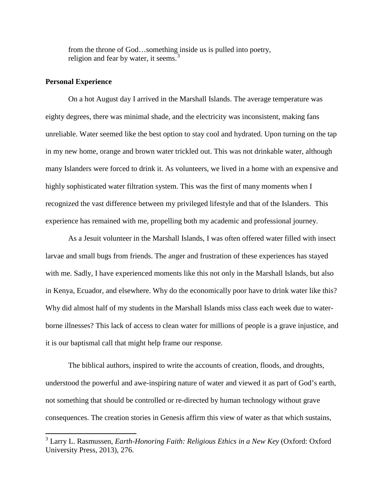from the throne of God…something inside us is pulled into poetry, religion and fear by water, it seems.<sup>[3](#page-2-0)</sup>

## **Personal Experience**

On a hot August day I arrived in the Marshall Islands. The average temperature was eighty degrees, there was minimal shade, and the electricity was inconsistent, making fans unreliable. Water seemed like the best option to stay cool and hydrated. Upon turning on the tap in my new home, orange and brown water trickled out. This was not drinkable water, although many Islanders were forced to drink it. As volunteers, we lived in a home with an expensive and highly sophisticated water filtration system. This was the first of many moments when I recognized the vast difference between my privileged lifestyle and that of the Islanders. This experience has remained with me, propelling both my academic and professional journey.

As a Jesuit volunteer in the Marshall Islands, I was often offered water filled with insect larvae and small bugs from friends. The anger and frustration of these experiences has stayed with me. Sadly, I have experienced moments like this not only in the Marshall Islands, but also in Kenya, Ecuador, and elsewhere. Why do the economically poor have to drink water like this? Why did almost half of my students in the Marshall Islands miss class each week due to waterborne illnesses? This lack of access to clean water for millions of people is a grave injustice, and it is our baptismal call that might help frame our response.

The biblical authors, inspired to write the accounts of creation, floods, and droughts, understood the powerful and awe-inspiring nature of water and viewed it as part of God's earth, not something that should be controlled or re-directed by human technology without grave consequences. The creation stories in Genesis affirm this view of water as that which sustains,

<span id="page-2-0"></span><sup>3</sup> Larry L. Rasmussen, *Earth-Honoring Faith: Religious Ethics in a New Key* (Oxford: Oxford University Press, 2013), 276.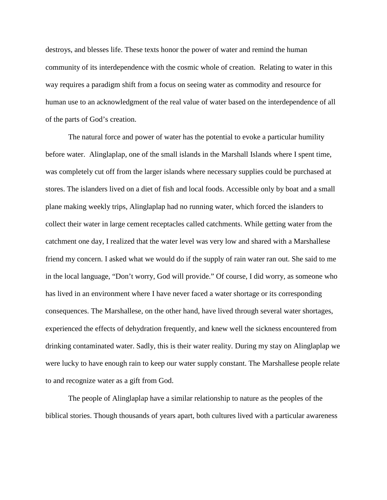destroys, and blesses life. These texts honor the power of water and remind the human community of its interdependence with the cosmic whole of creation. Relating to water in this way requires a paradigm shift from a focus on seeing water as commodity and resource for human use to an acknowledgment of the real value of water based on the interdependence of all of the parts of God's creation.

The natural force and power of water has the potential to evoke a particular humility before water. Alinglaplap, one of the small islands in the Marshall Islands where I spent time, was completely cut off from the larger islands where necessary supplies could be purchased at stores. The islanders lived on a diet of fish and local foods. Accessible only by boat and a small plane making weekly trips, Alinglaplap had no running water, which forced the islanders to collect their water in large cement receptacles called catchments. While getting water from the catchment one day, I realized that the water level was very low and shared with a Marshallese friend my concern. I asked what we would do if the supply of rain water ran out. She said to me in the local language, "Don't worry, God will provide." Of course, I did worry, as someone who has lived in an environment where I have never faced a water shortage or its corresponding consequences. The Marshallese, on the other hand, have lived through several water shortages, experienced the effects of dehydration frequently, and knew well the sickness encountered from drinking contaminated water. Sadly, this is their water reality. During my stay on Alinglaplap we were lucky to have enough rain to keep our water supply constant. The Marshallese people relate to and recognize water as a gift from God.

The people of Alinglaplap have a similar relationship to nature as the peoples of the biblical stories. Though thousands of years apart, both cultures lived with a particular awareness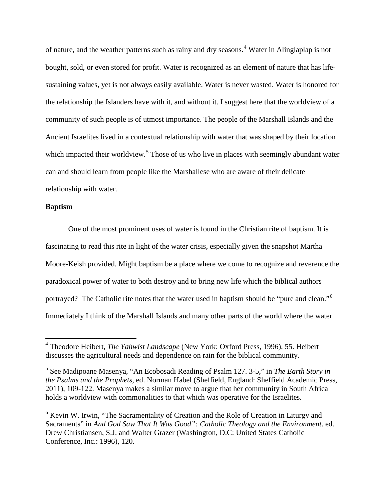of nature, and the weather patterns such as rainy and dry seasons.[4](#page-4-0) Water in Alinglaplap is not bought, sold, or even stored for profit. Water is recognized as an element of nature that has lifesustaining values, yet is not always easily available. Water is never wasted. Water is honored for the relationship the Islanders have with it, and without it. I suggest here that the worldview of a community of such people is of utmost importance. The people of the Marshall Islands and the Ancient Israelites lived in a contextual relationship with water that was shaped by their location which impacted their worldview.<sup>[5](#page-4-1)</sup> Those of us who live in places with seemingly abundant water can and should learn from people like the Marshallese who are aware of their delicate relationship with water.

## **Baptism**

One of the most prominent uses of water is found in the Christian rite of baptism. It is fascinating to read this rite in light of the water crisis, especially given the snapshot Martha Moore-Keish provided. Might baptism be a place where we come to recognize and reverence the paradoxical power of water to both destroy and to bring new life which the biblical authors portrayed? The Catholic rite notes that the water used in baptism should be "pure and clean."[6](#page-4-2) Immediately I think of the Marshall Islands and many other parts of the world where the water

<span id="page-4-0"></span><sup>4</sup> Theodore Heibert, *The Yahwist Landscape* (New York: Oxford Press, 1996), 55. Heibert discusses the agricultural needs and dependence on rain for the biblical community.

<span id="page-4-1"></span><sup>5</sup> See Madipoane Masenya, "An Ecobosadi Reading of Psalm 127. 3-5," in *The Earth Story in the Psalms and the Prophets*, ed. Norman Habel (Sheffield, England: Sheffield Academic Press, 2011), 109-122. Masenya makes a similar move to argue that her community in South Africa holds a worldview with commonalities to that which was operative for the Israelites.

<span id="page-4-2"></span><sup>6</sup> Kevin W. Irwin, "The Sacramentality of Creation and the Role of Creation in Liturgy and Sacraments" in *And God Saw That It Was Good": Catholic Theology and the Environment*. ed. Drew Christiansen, S.J. and Walter Grazer (Washington, D.C: United States Catholic Conference, Inc.: 1996), 120.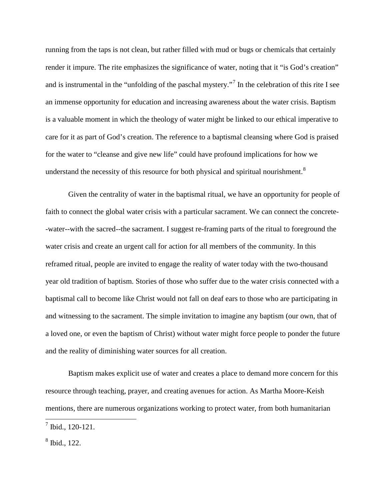running from the taps is not clean, but rather filled with mud or bugs or chemicals that certainly render it impure. The rite emphasizes the significance of water, noting that it "is God's creation" and is instrumental in the "unfolding of the paschal mystery."<sup>[7](#page-5-0)</sup> In the celebration of this rite I see an immense opportunity for education and increasing awareness about the water crisis. Baptism is a valuable moment in which the theology of water might be linked to our ethical imperative to care for it as part of God's creation. The reference to a baptismal cleansing where God is praised for the water to "cleanse and give new life" could have profound implications for how we understand the necessity of this resource for both physical and spiritual nourishment. $8$ 

Given the centrality of water in the baptismal ritual, we have an opportunity for people of faith to connect the global water crisis with a particular sacrament. We can connect the concrete- -water--with the sacred--the sacrament. I suggest re-framing parts of the ritual to foreground the water crisis and create an urgent call for action for all members of the community. In this reframed ritual, people are invited to engage the reality of water today with the two-thousand year old tradition of baptism. Stories of those who suffer due to the water crisis connected with a baptismal call to become like Christ would not fall on deaf ears to those who are participating in and witnessing to the sacrament. The simple invitation to imagine any baptism (our own, that of a loved one, or even the baptism of Christ) without water might force people to ponder the future and the reality of diminishing water sources for all creation.

Baptism makes explicit use of water and creates a place to demand more concern for this resource through teaching, prayer, and creating avenues for action. As Martha Moore-Keish mentions, there are numerous organizations working to protect water, from both humanitarian

<span id="page-5-0"></span> $^7$  Ibid., 120-121.

<span id="page-5-1"></span><sup>8</sup> Ibid., 122.